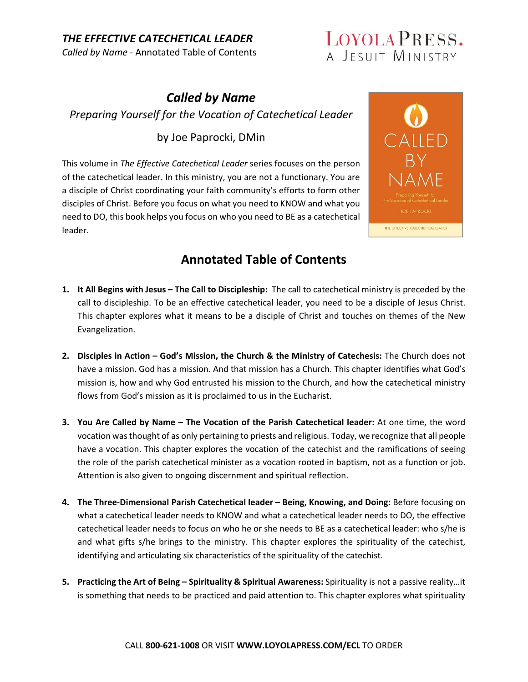## LOYOLA PRESS. A JESUIT MINISTRY

## *Called by Name Preparing Yourself for the Vocation of Catechetical Leader*

#### by Joe Paprocki, DMin

This volume in *The Effective Catechetical Leader* series focuses on the person of the catechetical leader. In this ministry, you are not a functionary. You are a disciple of Christ coordinating your faith community's efforts to form other disciples of Christ. Before you focus on what you need to KNOW and what you need to DO, this book helps you focus on who you need to BE as a catechetical leader.



- **1. It All Begins with Jesus The Call to Discipleship:** The call to catechetical ministry is preceded by the call to discipleship. To be an effective catechetical leader, you need to be a disciple of Jesus Christ. This chapter explores what it means to be a disciple of Christ and touches on themes of the New Evangelization.
- **2. Disciples in Action God's Mission, the Church & the Ministry of Catechesis:** The Church does not have a mission. God has a mission. And that mission has a Church. This chapter identifies what God's mission is, how and why God entrusted his mission to the Church, and how the catechetical ministry flows from God's mission as it is proclaimed to us in the Eucharist.
- **3. You Are Called by Name The Vocation of the Parish Catechetical leader:** At one time, the word vocation was thought of as only pertaining to priests and religious. Today, we recognize that all people have a vocation. This chapter explores the vocation of the catechist and the ramifications of seeing the role of the parish catechetical minister as a vocation rooted in baptism, not as a function or job. Attention is also given to ongoing discernment and spiritual reflection.
- **4. The Three‐Dimensional Parish Catechetical leader Being, Knowing, and Doing:** Before focusing on what a catechetical leader needs to KNOW and what a catechetical leader needs to DO, the effective catechetical leader needs to focus on who he or she needs to BE as a catechetical leader: who s/he is and what gifts s/he brings to the ministry. This chapter explores the spirituality of the catechist, identifying and articulating six characteristics of the spirituality of the catechist.
- **5. Practicing the Art of Being Spirituality & Spiritual Awareness:** Spirituality is not a passive reality…it is something that needs to be practiced and paid attention to. This chapter explores what spirituality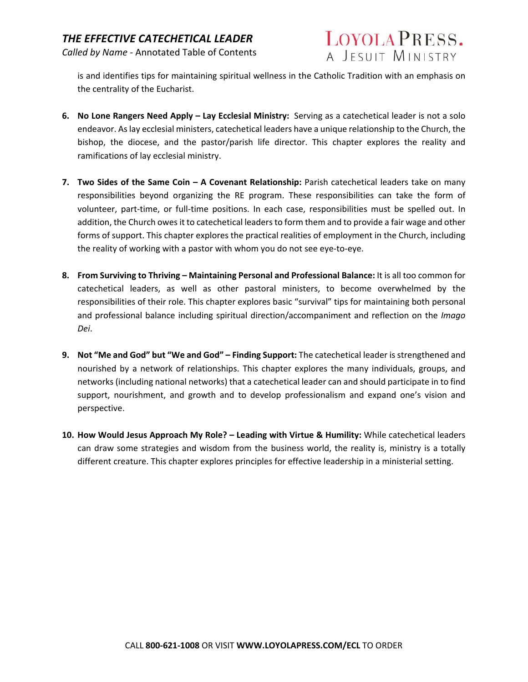

is and identifies tips for maintaining spiritual wellness in the Catholic Tradition with an emphasis on the centrality of the Eucharist.

- **6.** No Lone Rangers Need Apply Lay Ecclesial Ministry: Serving as a catechetical leader is not a solo endeavor. As lay ecclesial ministers, catechetical leaders have a unique relationship to the Church, the bishop, the diocese, and the pastor/parish life director. This chapter explores the reality and ramifications of lay ecclesial ministry.
- **7. Two Sides of the Same Coin A Covenant Relationship:** Parish catechetical leaders take on many responsibilities beyond organizing the RE program. These responsibilities can take the form of volunteer, part-time, or full-time positions. In each case, responsibilities must be spelled out. In addition, the Church owes it to catechetical leaders to form them and to provide a fair wage and other forms of support. This chapter explores the practical realities of employment in the Church, including the reality of working with a pastor with whom you do not see eye‐to‐eye.
- **8. From Surviving to Thriving Maintaining Personal and Professional Balance:** It is all too common for catechetical leaders, as well as other pastoral ministers, to become overwhelmed by the responsibilities of their role. This chapter explores basic "survival" tips for maintaining both personal and professional balance including spiritual direction/accompaniment and reflection on the *Imago Dei*.
- **9. Not "Me and God" but "We and God" Finding Support:** The catechetical leader is strengthened and nourished by a network of relationships. This chapter explores the many individuals, groups, and networks (including national networks) that a catechetical leader can and should participate in to find support, nourishment, and growth and to develop professionalism and expand one's vision and perspective.
- **10. How Would Jesus Approach My Role? Leading with Virtue & Humility:** While catechetical leaders can draw some strategies and wisdom from the business world, the reality is, ministry is a totally different creature. This chapter explores principles for effective leadership in a ministerial setting.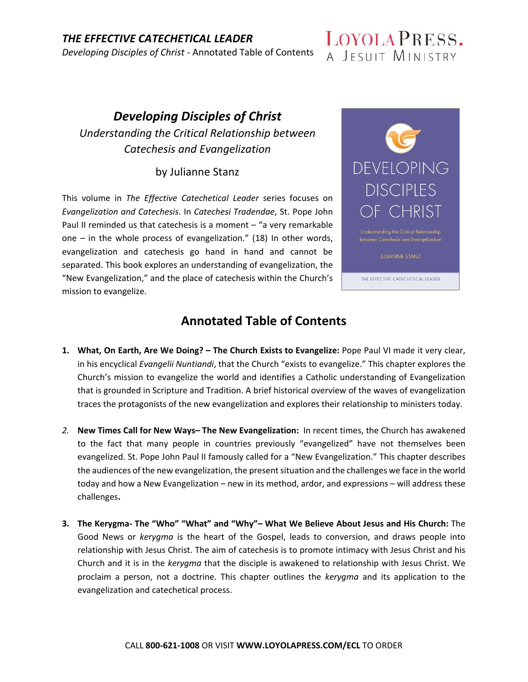

## *Developing Disciples of Christ Understanding the Critical Relationship between Catechesis and Evangelization*

#### by Julianne Stanz

This volume in The Effective Catechetical Leader series focuses on *Evangelization and Catechesis*. In *Catechesi Tradendae*, St. Pope John Paul II reminded us that catechesis is a moment  $-$  "a very remarkable one  $-$  in the whole process of evangelization." (18) In other words, evangelization and catechesis go hand in hand and cannot be separated. This book explores an understanding of evangelization, the "New Evangelization," and the place of catechesis within the Church's mission to evangelize.



between Catechesis and Evangelization

THE EFFECTIVE CATECHETICAL LEADER

- **1. What, On Earth, Are We Doing? The Church Exists to Evangelize:** Pope Paul VI made it very clear, in his encyclical *Evangelii Nuntiandi*, that the Church "exists to evangelize." This chapter explores the Church's mission to evangelize the world and identifies a Catholic understanding of Evangelization that is grounded in Scripture and Tradition. A brief historical overview of the waves of evangelization traces the protagonists of the new evangelization and explores their relationship to ministers today.
- *2.* **New Times Call for New Ways– The New Evangelization:** In recent times, the Church has awakened to the fact that many people in countries previously "evangelized" have not themselves been evangelized. St. Pope John Paul II famously called for a "New Evangelization." This chapter describes the audiences of the new evangelization, the present situation and the challenges we face in the world today and how a New Evangelization – new in its method, ardor, and expressions – will address these challenges**.**
- **3. The Kerygma‐ The "Who" "What" and "Why"– What We Believe About Jesus and His Church:** The Good News or *kerygma* is the heart of the Gospel, leads to conversion, and draws people into relationship with Jesus Christ. The aim of catechesis is to promote intimacy with Jesus Christ and his Church and it is in the *kerygma* that the disciple is awakened to relationship with Jesus Christ. We proclaim a person, not a doctrine. This chapter outlines the *kerygma* and its application to the evangelization and catechetical process.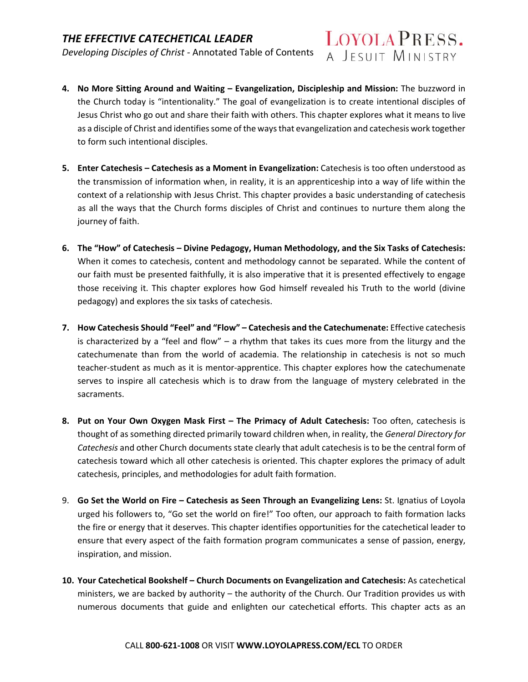

- **4. No More Sitting Around and Waiting Evangelization, Discipleship and Mission:** The buzzword in the Church today is "intentionality." The goal of evangelization is to create intentional disciples of Jesus Christ who go out and share their faith with others. This chapter explores what it means to live as a disciple of Christ and identifies some of the ways that evangelization and catechesis work together to form such intentional disciples.
- **5. Enter Catechesis Catechesis as a Moment in Evangelization:** Catechesis is too often understood as the transmission of information when, in reality, it is an apprenticeship into a way of life within the context of a relationship with Jesus Christ. This chapter provides a basic understanding of catechesis as all the ways that the Church forms disciples of Christ and continues to nurture them along the journey of faith.
- **6. The "How" of Catechesis Divine Pedagogy, Human Methodology, and the Six Tasks of Catechesis:**  When it comes to catechesis, content and methodology cannot be separated. While the content of our faith must be presented faithfully, it is also imperative that it is presented effectively to engage those receiving it. This chapter explores how God himself revealed his Truth to the world (divine pedagogy) and explores the six tasks of catechesis.
- **7. How Catechesis Should "Feel" and "Flow" Catechesis and the Catechumenate:** Effective catechesis is characterized by a "feel and  $flow'' - a$  rhythm that takes its cues more from the liturgy and the catechumenate than from the world of academia. The relationship in catechesis is not so much teacher‐student as much as it is mentor‐apprentice. This chapter explores how the catechumenate serves to inspire all catechesis which is to draw from the language of mystery celebrated in the sacraments.
- **8. Put on Your Own Oxygen Mask First The Primacy of Adult Catechesis:** Too often, catechesis is thought of as something directed primarily toward children when, in reality, the *General Directory for Catechesis* and other Church documents state clearly that adult catechesis is to be the central form of catechesis toward which all other catechesis is oriented. This chapter explores the primacy of adult catechesis, principles, and methodologies for adult faith formation.
- 9. **Go Set the World on Fire Catechesis as Seen Through an Evangelizing Lens:** St. Ignatius of Loyola urged his followers to, "Go set the world on fire!" Too often, our approach to faith formation lacks the fire or energy that it deserves. This chapter identifies opportunities for the catechetical leader to ensure that every aspect of the faith formation program communicates a sense of passion, energy, inspiration, and mission.
- **10. Your Catechetical Bookshelf Church Documents on Evangelization and Catechesis:** As catechetical ministers, we are backed by authority – the authority of the Church. Our Tradition provides us with numerous documents that guide and enlighten our catechetical efforts. This chapter acts as an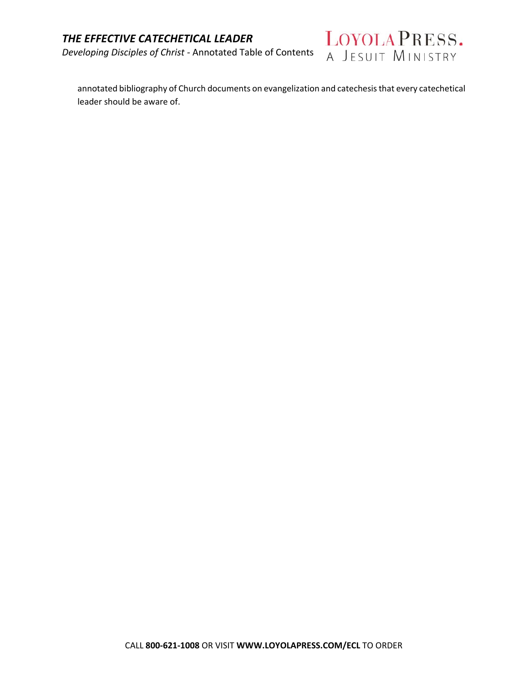*Developing Disciples of Christ ‐* Annotated Table of Contents



annotated bibliography of Church documents on evangelization and catechesis that every catechetical leader should be aware of.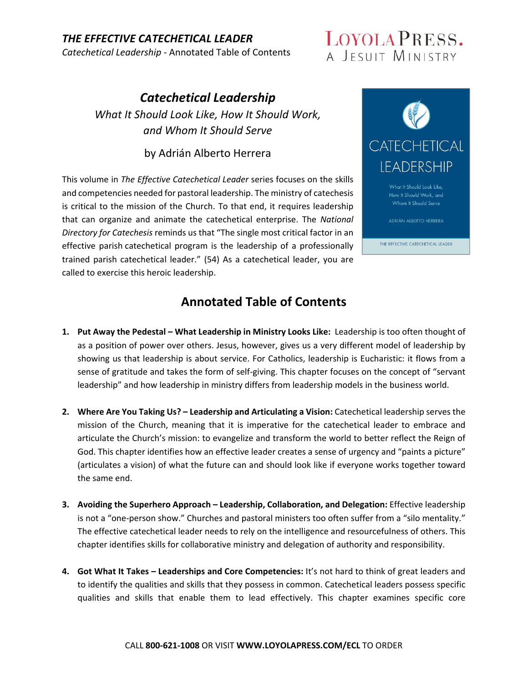*THE EFFECTIVE CATECHETICAL LEADER Catechetical Leadership ‐* Annotated Table of Contents

## LOYOLA PRESS. A JESUIT MINISTRY

*Catechetical Leadership What It Should Look Like, How It Should Work, and Whom It Should Serve* 

by Adrián Alberto Herrera

This volume in *The Effective Catechetical Leader* series focuses on the skills and competencies needed for pastoral leadership. The ministry of catechesis is critical to the mission of the Church. To that end, it requires leadership that can organize and animate the catechetical enterprise. The *National Directory for Catechesis* reminds us that "The single most critical factor in an effective parish catechetical program is the leadership of a professionally trained parish catechetical leader." (54) As a catechetical leader, you are called to exercise this heroic leadership.



- **1.** Put Away the Pedestal What Leadership in Ministry Looks Like: Leadership is too often thought of as a position of power over others. Jesus, however, gives us a very different model of leadership by showing us that leadership is about service. For Catholics, leadership is Eucharistic: it flows from a sense of gratitude and takes the form of self‐giving. This chapter focuses on the concept of "servant leadership" and how leadership in ministry differs from leadership models in the business world.
- **2. Where Are You Taking Us? Leadership and Articulating a Vision:** Catechetical leadership serves the mission of the Church, meaning that it is imperative for the catechetical leader to embrace and articulate the Church's mission: to evangelize and transform the world to better reflect the Reign of God. This chapter identifies how an effective leader creates a sense of urgency and "paints a picture" (articulates a vision) of what the future can and should look like if everyone works together toward the same end.
- **3. Avoiding the Superhero Approach Leadership, Collaboration, and Delegation:** Effective leadership is not a "one-person show." Churches and pastoral ministers too often suffer from a "silo mentality." The effective catechetical leader needs to rely on the intelligence and resourcefulness of others. This chapter identifies skills for collaborative ministry and delegation of authority and responsibility.
- **4. Got What It Takes Leaderships and Core Competencies:** It's not hard to think of great leaders and to identify the qualities and skills that they possess in common. Catechetical leaders possess specific qualities and skills that enable them to lead effectively. This chapter examines specific core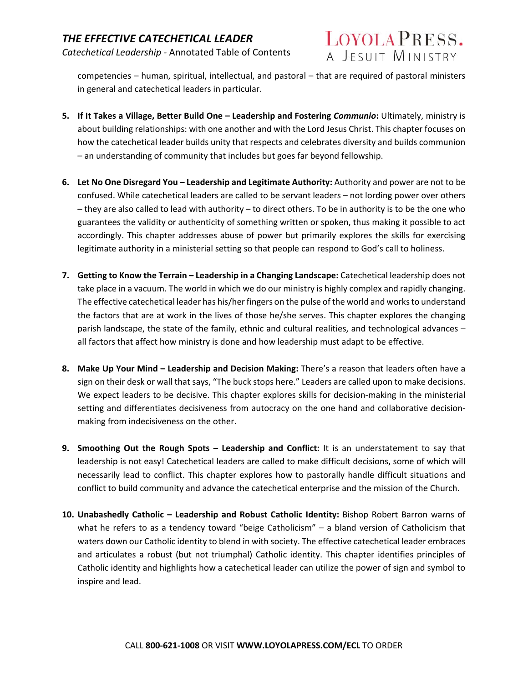

competencies – human, spiritual, intellectual, and pastoral – that are required of pastoral ministers in general and catechetical leaders in particular.

- **5. If It Takes a Village, Better Build One Leadership and Fostering** *Communio***:** Ultimately, ministry is about building relationships: with one another and with the Lord Jesus Christ. This chapter focuses on how the catechetical leader builds unity that respects and celebrates diversity and builds communion – an understanding of community that includes but goes far beyond fellowship.
- **6. Let No One Disregard You Leadership and Legitimate Authority:** Authority and power are not to be confused. While catechetical leaders are called to be servant leaders – not lording power over others – they are also called to lead with authority – to direct others. To be in authority is to be the one who guarantees the validity or authenticity of something written or spoken, thus making it possible to act accordingly. This chapter addresses abuse of power but primarily explores the skills for exercising legitimate authority in a ministerial setting so that people can respond to God's call to holiness.
- **7. Getting to Know the Terrain Leadership in a Changing Landscape:** Catechetical leadership does not take place in a vacuum. The world in which we do our ministry is highly complex and rapidly changing. The effective catechetical leader has his/her fingers on the pulse of the world and works to understand the factors that are at work in the lives of those he/she serves. This chapter explores the changing parish landscape, the state of the family, ethnic and cultural realities, and technological advances – all factors that affect how ministry is done and how leadership must adapt to be effective.
- **8. Make Up Your Mind Leadership and Decision Making:** There's a reason that leaders often have a sign on their desk or wall that says, "The buck stops here." Leaders are called upon to make decisions. We expect leaders to be decisive. This chapter explores skills for decision-making in the ministerial setting and differentiates decisiveness from autocracy on the one hand and collaborative decisionmaking from indecisiveness on the other.
- **9. Smoothing Out the Rough Spots Leadership and Conflict:**  It is an understatement to say that leadership is not easy! Catechetical leaders are called to make difficult decisions, some of which will necessarily lead to conflict. This chapter explores how to pastorally handle difficult situations and conflict to build community and advance the catechetical enterprise and the mission of the Church.
- **10. Unabashedly Catholic Leadership and Robust Catholic Identity:** Bishop Robert Barron warns of what he refers to as a tendency toward "beige Catholicism"  $-$  a bland version of Catholicism that waters down our Catholic identity to blend in with society. The effective catechetical leader embraces and articulates a robust (but not triumphal) Catholic identity. This chapter identifies principles of Catholic identity and highlights how a catechetical leader can utilize the power of sign and symbol to inspire and lead.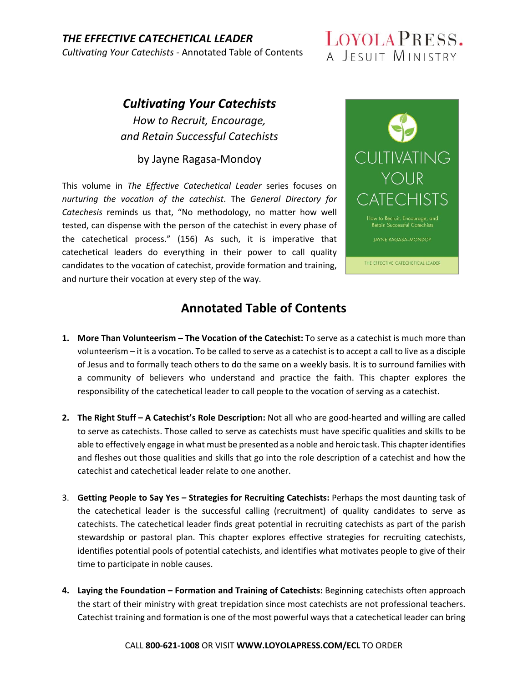### *THE EFFECTIVE CATECHETICAL LEADER*

*Cultivating Your Catechists ‐* Annotated Table of Contents

## LOYOLA PRESS. A JESUIT MINISTRY

# *Cultivating Your Catechists*

*How to Recruit, Encourage, and Retain Successful Catechists*

by Jayne Ragasa‐Mondoy

This volume in The Effective Catechetical Leader series focuses on *nurturing the vocation of the catechist*. The *General Directory for Catechesis* reminds us that, "No methodology, no matter how well tested, can dispense with the person of the catechist in every phase of the catechetical process." (156) As such, it is imperative that catechetical leaders do everything in their power to call quality candidates to the vocation of catechist, provide formation and training, and nurture their vocation at every step of the way.



- **1. More Than Volunteerism The Vocation of the Catechist:** To serve as a catechist is much more than volunteerism – it is a vocation. To be called to serve as a catechist is to accept a call to live as a disciple of Jesus and to formally teach others to do the same on a weekly basis. It is to surround families with a community of believers who understand and practice the faith. This chapter explores the responsibility of the catechetical leader to call people to the vocation of serving as a catechist.
- **2. The Right Stuff A Catechist's Role Description:** Not all who are good‐hearted and willing are called to serve as catechists. Those called to serve as catechists must have specific qualities and skills to be able to effectively engage in what must be presented as a noble and heroic task. This chapter identifies and fleshes out those qualities and skills that go into the role description of a catechist and how the catechist and catechetical leader relate to one another.
- 3. **Getting People to Say Yes Strategies for Recruiting Catechists:** Perhaps the most daunting task of the catechetical leader is the successful calling (recruitment) of quality candidates to serve as catechists. The catechetical leader finds great potential in recruiting catechists as part of the parish stewardship or pastoral plan. This chapter explores effective strategies for recruiting catechists, identifies potential pools of potential catechists, and identifies what motivates people to give of their time to participate in noble causes.
- **4. Laying the Foundation Formation and Training of Catechists:** Beginning catechists often approach the start of their ministry with great trepidation since most catechists are not professional teachers. Catechist training and formation is one of the most powerful ways that a catechetical leader can bring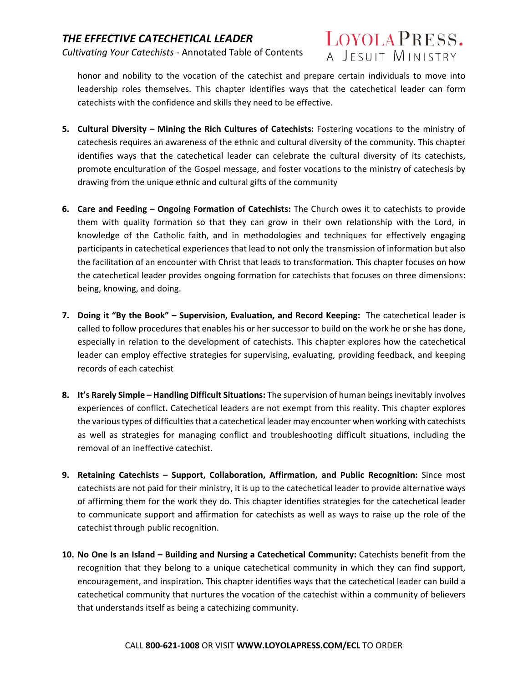

honor and nobility to the vocation of the catechist and prepare certain individuals to move into leadership roles themselves. This chapter identifies ways that the catechetical leader can form catechists with the confidence and skills they need to be effective.

- **5. Cultural Diversity Mining the Rich Cultures of Catechists:** Fostering vocations to the ministry of catechesis requires an awareness of the ethnic and cultural diversity of the community. This chapter identifies ways that the catechetical leader can celebrate the cultural diversity of its catechists, promote enculturation of the Gospel message, and foster vocations to the ministry of catechesis by drawing from the unique ethnic and cultural gifts of the community
- **6. Care and Feeding Ongoing Formation of Catechists:** The Church owes it to catechists to provide them with quality formation so that they can grow in their own relationship with the Lord, in knowledge of the Catholic faith, and in methodologies and techniques for effectively engaging participants in catechetical experiences that lead to not only the transmission of information but also the facilitation of an encounter with Christ that leads to transformation. This chapter focuses on how the catechetical leader provides ongoing formation for catechists that focuses on three dimensions: being, knowing, and doing.
- **7. Doing it "By the Book" Supervision, Evaluation, and Record Keeping:** The catechetical leader is called to follow procedures that enables his or her successor to build on the work he or she has done, especially in relation to the development of catechists. This chapter explores how the catechetical leader can employ effective strategies for supervising, evaluating, providing feedback, and keeping records of each catechist
- **8. It's Rarely Simple Handling Difficult Situations:** The supervision of human beings inevitably involves experiences of conflict**.** Catechetical leaders are not exempt from this reality. This chapter explores the various types of difficulties that a catechetical leader may encounter when working with catechists as well as strategies for managing conflict and troubleshooting difficult situations, including the removal of an ineffective catechist.
- **9. Retaining Catechists Support, Collaboration, Affirmation, and Public Recognition:**  Since most catechists are not paid for their ministry, it is up to the catechetical leader to provide alternative ways of affirming them for the work they do. This chapter identifies strategies for the catechetical leader to communicate support and affirmation for catechists as well as ways to raise up the role of the catechist through public recognition.
- **10. No One Is an Island Building and Nursing a Catechetical Community:** Catechists benefit from the recognition that they belong to a unique catechetical community in which they can find support, encouragement, and inspiration. This chapter identifies ways that the catechetical leader can build a catechetical community that nurtures the vocation of the catechist within a community of believers that understands itself as being a catechizing community.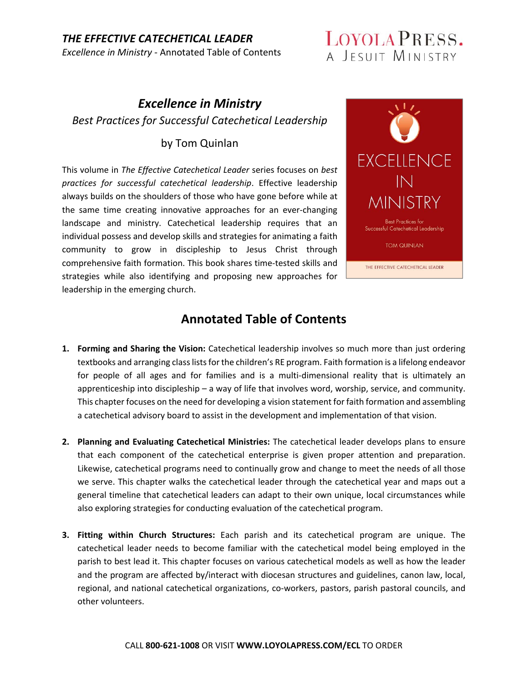#### *THE EFFECTIVE CATECHETICAL LEADER Excellence in Ministry ‐* Annotated Table of Contents

## LOYOLA PRESS. A JESUIT MINISTRY

## *Excellence in Ministry Best Practices for Successful Catechetical Leadership*

#### by Tom Quinlan

This volume in *The Effective Catechetical Leader* series focuses on *best practices for successful catechetical leadership*. Effective leadership always builds on the shoulders of those who have gone before while at the same time creating innovative approaches for an ever‐changing landscape and ministry. Catechetical leadership requires that an individual possess and develop skills and strategies for animating a faith community to grow in discipleship to Jesus Christ through comprehensive faith formation. This book shares time‐tested skills and strategies while also identifying and proposing new approaches for leadership in the emerging church.



- **1. Forming and Sharing the Vision:** Catechetical leadership involves so much more than just ordering textbooks and arranging class lists for the children's RE program. Faith formation is a lifelong endeavor for people of all ages and for families and is a multi-dimensional reality that is ultimately an apprenticeship into discipleship – a way of life that involves word, worship, service, and community. This chapter focuses on the need for developing a vision statement for faith formation and assembling a catechetical advisory board to assist in the development and implementation of that vision.
- **2. Planning and Evaluating Catechetical Ministries:** The catechetical leader develops plans to ensure that each component of the catechetical enterprise is given proper attention and preparation. Likewise, catechetical programs need to continually grow and change to meet the needs of all those we serve. This chapter walks the catechetical leader through the catechetical year and maps out a general timeline that catechetical leaders can adapt to their own unique, local circumstances while also exploring strategies for conducting evaluation of the catechetical program.
- **3. Fitting within Church Structures:**  Each parish and its catechetical program are unique. The catechetical leader needs to become familiar with the catechetical model being employed in the parish to best lead it. This chapter focuses on various catechetical models as well as how the leader and the program are affected by/interact with diocesan structures and guidelines, canon law, local, regional, and national catechetical organizations, co-workers, pastors, parish pastoral councils, and other volunteers.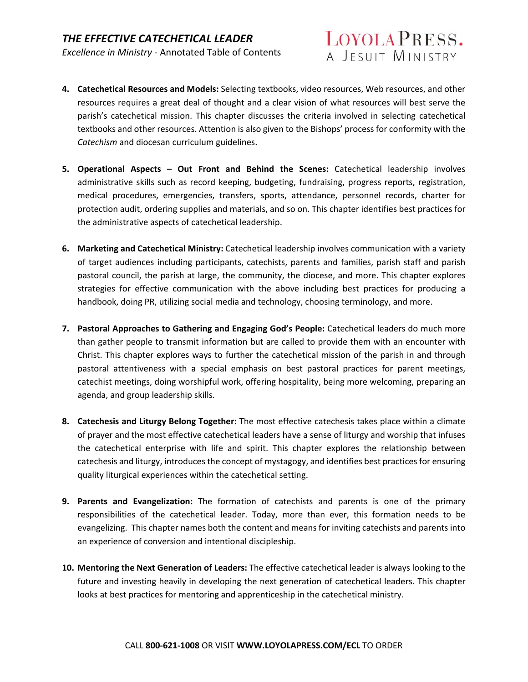- LOYOLA PRESS. A JESUIT MINISTRY
- **4. Catechetical Resources and Models:** Selecting textbooks, video resources, Web resources, and other resources requires a great deal of thought and a clear vision of what resources will best serve the parish's catechetical mission. This chapter discusses the criteria involved in selecting catechetical textbooks and other resources. Attention is also given to the Bishops' process for conformity with the *Catechism* and diocesan curriculum guidelines.
- **5. Operational Aspects Out Front and Behind the Scenes:**  Catechetical leadership involves administrative skills such as record keeping, budgeting, fundraising, progress reports, registration, medical procedures, emergencies, transfers, sports, attendance, personnel records, charter for protection audit, ordering supplies and materials, and so on. This chapter identifies best practices for the administrative aspects of catechetical leadership.
- **6. Marketing and Catechetical Ministry:** Catechetical leadership involves communication with a variety of target audiences including participants, catechists, parents and families, parish staff and parish pastoral council, the parish at large, the community, the diocese, and more. This chapter explores strategies for effective communication with the above including best practices for producing a handbook, doing PR, utilizing social media and technology, choosing terminology, and more.
- **7. Pastoral Approaches to Gathering and Engaging God's People:** Catechetical leaders do much more than gather people to transmit information but are called to provide them with an encounter with Christ. This chapter explores ways to further the catechetical mission of the parish in and through pastoral attentiveness with a special emphasis on best pastoral practices for parent meetings, catechist meetings, doing worshipful work, offering hospitality, being more welcoming, preparing an agenda, and group leadership skills.
- **8. Catechesis and Liturgy Belong Together:** The most effective catechesis takes place within a climate of prayer and the most effective catechetical leaders have a sense of liturgy and worship that infuses the catechetical enterprise with life and spirit. This chapter explores the relationship between catechesis and liturgy, introduces the concept of mystagogy, and identifies best practices for ensuring quality liturgical experiences within the catechetical setting.
- **9. Parents and Evangelization:**  The formation of catechists and parents is one of the primary responsibilities of the catechetical leader. Today, more than ever, this formation needs to be evangelizing. This chapter names both the content and means for inviting catechists and parents into an experience of conversion and intentional discipleship.
- **10. Mentoring the Next Generation of Leaders:** The effective catechetical leader is always looking to the future and investing heavily in developing the next generation of catechetical leaders. This chapter looks at best practices for mentoring and apprenticeship in the catechetical ministry.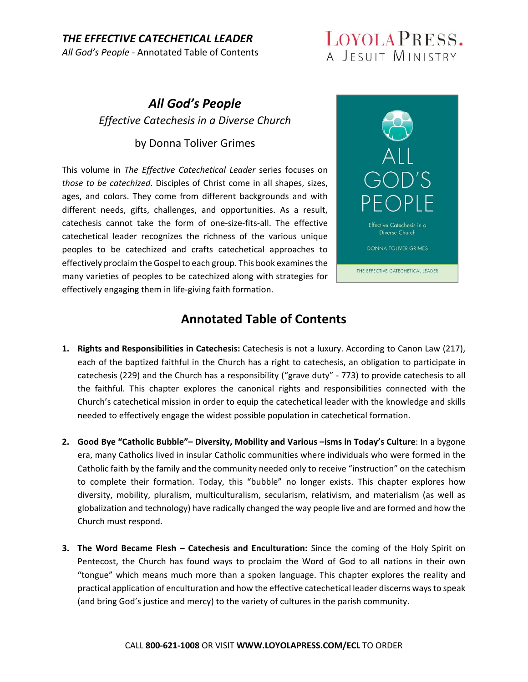#### *THE EFFECTIVE CATECHETICAL LEADER All God's People ‐* Annotated Table of Contents

LOYOLA PRESS. A JESUIT MINISTRY

## *All God's People Effective Catechesis in a Diverse Church*

#### by Donna Toliver Grimes

This volume in *The Effective Catechetical Leader* series focuses on *those to be catechized*. Disciples of Christ come in all shapes, sizes, ages, and colors. They come from different backgrounds and with different needs, gifts, challenges, and opportunities. As a result, catechesis cannot take the form of one‐size‐fits‐all. The effective catechetical leader recognizes the richness of the various unique peoples to be catechized and crafts catechetical approaches to effectively proclaim the Gospel to each group. This book examines the many varieties of peoples to be catechized along with strategies for effectively engaging them in life‐giving faith formation.



- **1. Rights and Responsibilities in Catechesis:** Catechesis is not a luxury. According to Canon Law (217), each of the baptized faithful in the Church has a right to catechesis, an obligation to participate in catechesis (229) and the Church has a responsibility ("grave duty" ‐ 773) to provide catechesis to all the faithful. This chapter explores the canonical rights and responsibilities connected with the Church's catechetical mission in order to equip the catechetical leader with the knowledge and skills needed to effectively engage the widest possible population in catechetical formation.
- **2. Good Bye "Catholic Bubble"– Diversity, Mobility and Various –isms in Today's Culture**: In a bygone era, many Catholics lived in insular Catholic communities where individuals who were formed in the Catholic faith by the family and the community needed only to receive "instruction" on the catechism to complete their formation. Today, this "bubble" no longer exists. This chapter explores how diversity, mobility, pluralism, multiculturalism, secularism, relativism, and materialism (as well as globalization and technology) have radically changed the way people live and are formed and how the Church must respond.
- **3. The Word Became Flesh Catechesis and Enculturation:** Since the coming of the Holy Spirit on Pentecost, the Church has found ways to proclaim the Word of God to all nations in their own "tongue" which means much more than a spoken language. This chapter explores the reality and practical application of enculturation and how the effective catechetical leader discerns ways to speak (and bring God's justice and mercy) to the variety of cultures in the parish community.